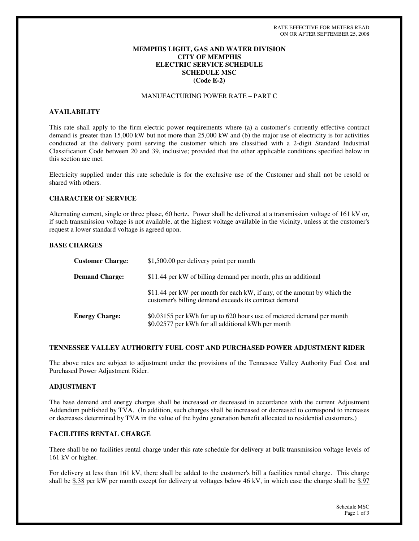## **MEMPHIS LIGHT, GAS AND WATER DIVISION CITY OF MEMPHIS ELECTRIC SERVICE SCHEDULE SCHEDULE MSC (Code E-2)**

# MANUFACTURING POWER RATE – PART C

### **AVAILABILITY**

This rate shall apply to the firm electric power requirements where (a) a customer's currently effective contract demand is greater than 15,000 kW but not more than 25,000 kW and (b) the major use of electricity is for activities conducted at the delivery point serving the customer which are classified with a 2-digit Standard Industrial Classification Code between 20 and 39, inclusive; provided that the other applicable conditions specified below in this section are met.

Electricity supplied under this rate schedule is for the exclusive use of the Customer and shall not be resold or shared with others.

### **CHARACTER OF SERVICE**

Alternating current, single or three phase, 60 hertz. Power shall be delivered at a transmission voltage of 161 kV or, if such transmission voltage is not available, at the highest voltage available in the vicinity, unless at the customer's request a lower standard voltage is agreed upon.

### **BASE CHARGES**

| <b>Customer Charge:</b> | \$1,500.00 per delivery point per month                                                                                           |
|-------------------------|-----------------------------------------------------------------------------------------------------------------------------------|
| <b>Demand Charge:</b>   | \$11.44 per kW of billing demand per month, plus an additional                                                                    |
|                         | \$11.44 per kW per month for each kW, if any, of the amount by which the<br>customer's billing demand exceeds its contract demand |
| <b>Energy Charge:</b>   | \$0.03155 per kWh for up to 620 hours use of metered demand per month<br>\$0.02577 per kWh for all additional kWh per month       |

### **TENNESSEE VALLEY AUTHORITY FUEL COST AND PURCHASED POWER ADJUSTMENT RIDER**

The above rates are subject to adjustment under the provisions of the Tennessee Valley Authority Fuel Cost and Purchased Power Adjustment Rider.

### **ADJUSTMENT**

The base demand and energy charges shall be increased or decreased in accordance with the current Adjustment Addendum published by TVA. (In addition, such charges shall be increased or decreased to correspond to increases or decreases determined by TVA in the value of the hydro generation benefit allocated to residential customers.)

### **FACILITIES RENTAL CHARGE**

There shall be no facilities rental charge under this rate schedule for delivery at bulk transmission voltage levels of 161 kV or higher.

For delivery at less than 161 kV, there shall be added to the customer's bill a facilities rental charge. This charge shall be  $$.38$  per kW per month except for delivery at voltages below 46 kV, in which case the charge shall be  $$.97$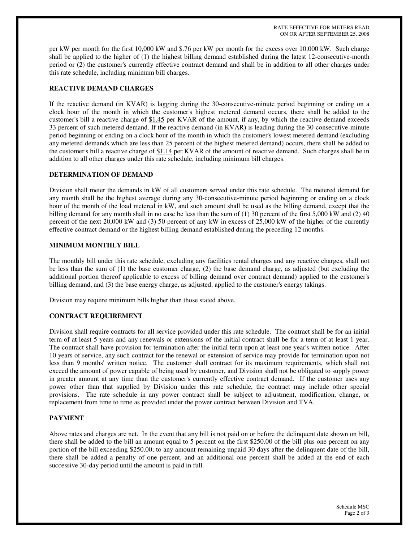RATE EFFECTIVE FOR METERS READ ON OR AFTER SEPTEMBER 25, 2008

per kW per month for the first 10,000 kW and \$.76 per kW per month for the excess over 10,000 kW. Such charge shall be applied to the higher of (1) the highest billing demand established during the latest 12-consecutive-month period or (2) the customer's currently effective contract demand and shall be in addition to all other charges under this rate schedule, including minimum bill charges.

## **REACTIVE DEMAND CHARGES**

If the reactive demand (in KVAR) is lagging during the 30-consecutive-minute period beginning or ending on a clock hour of the month in which the customer's highest metered demand occurs, there shall be added to the customer's bill a reactive charge of \$1.45 per KVAR of the amount, if any, by which the reactive demand exceeds 33 percent of such metered demand. If the reactive demand (in KVAR) is leading during the 30-consecutive-minute period beginning or ending on a clock hour of the month in which the customer's lowest metered demand (excluding any metered demands which are less than 25 percent of the highest metered demand) occurs, there shall be added to the customer's bill a reactive charge of \$1.14 per KVAR of the amount of reactive demand. Such charges shall be in addition to all other charges under this rate schedule, including minimum bill charges.

## **DETERMINATION OF DEMAND**

Division shall meter the demands in kW of all customers served under this rate schedule. The metered demand for any month shall be the highest average during any 30-consecutive-minute period beginning or ending on a clock hour of the month of the load metered in kW, and such amount shall be used as the billing demand, except that the billing demand for any month shall in no case be less than the sum of (1) 30 percent of the first 5,000 kW and (2) 40 percent of the next 20,000 kW and (3) 50 percent of any kW in excess of 25,000 kW of the higher of the currently effective contract demand or the highest billing demand established during the preceding 12 months.

### **MINIMUM MONTHLY BILL**

The monthly bill under this rate schedule, excluding any facilities rental charges and any reactive charges, shall not be less than the sum of (1) the base customer charge, (2) the base demand charge, as adjusted (but excluding the additional portion thereof applicable to excess of billing demand over contract demand) applied to the customer's billing demand, and (3) the base energy charge, as adjusted, applied to the customer's energy takings.

Division may require minimum bills higher than those stated above.

# **CONTRACT REQUIREMENT**

Division shall require contracts for all service provided under this rate schedule. The contract shall be for an initial term of at least 5 years and any renewals or extensions of the initial contract shall be for a term of at least 1 year. The contract shall have provision for termination after the initial term upon at least one year's written notice. After 10 years of service, any such contract for the renewal or extension of service may provide for termination upon not less than 9 months'written notice. The customer shall contract for its maximum requirements, which shall not exceed the amount of power capable of being used by customer, and Division shall not be obligated to supply power in greater amount at any time than the customer's currently effective contract demand. If the customer uses any power other than that supplied by Division under this rate schedule, the contract may include other special provisions. The rate schedule in any power contract shall be subject to adjustment, modification, change, or replacement from time to time as provided under the power contract between Division and TVA.

### **PAYMENT**

Above rates and charges are net. In the event that any bill is not paid on or before the delinquent date shown on bill, there shall be added to the bill an amount equal to 5 percent on the first \$250.00 of the bill plus one percent on any portion of the bill exceeding \$250.00; to any amount remaining unpaid 30 days after the delinquent date of the bill, there shall be added a penalty of one percent, and an additional one percent shall be added at the end of each successive 30-day period until the amount is paid in full.